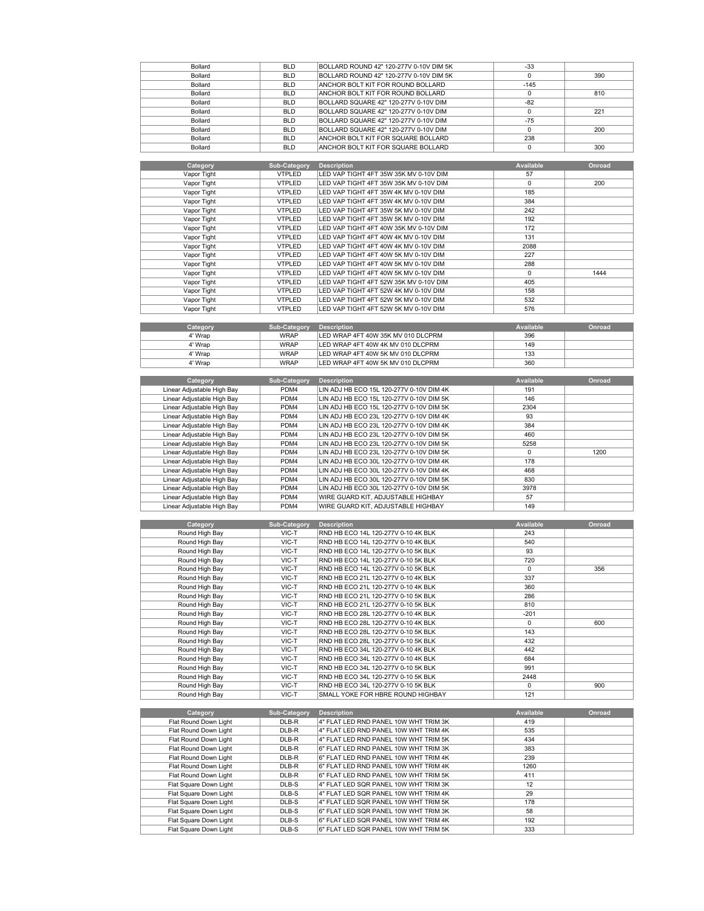







| Bollard        | <b>BLD</b> | BOLLARD ROUND 42" 120-277V 0-10V DIM 5K | $-33$  |     |
|----------------|------------|-----------------------------------------|--------|-----|
| <b>Bollard</b> | <b>BLD</b> | BOLLARD ROUND 42" 120-277V 0-10V DIM 5K | 0      | 390 |
| <b>Bollard</b> | <b>BLD</b> | ANCHOR BOLT KIT FOR ROUND BOLLARD       | $-145$ |     |
| Bollard        | <b>BLD</b> | ANCHOR BOLT KIT FOR ROUND BOLLARD       |        | 810 |
| Bollard        | <b>BLD</b> | BOLLARD SQUARE 42" 120-277V 0-10V DIM   | $-82$  |     |
| Bollard        | <b>BLD</b> | BOLLARD SQUARE 42" 120-277V 0-10V DIM   | n      | 221 |
| <b>Bollard</b> | <b>BLD</b> | BOLLARD SQUARE 42" 120-277V 0-10V DIM   | $-75$  |     |
| <b>Bollard</b> | <b>BLD</b> | BOLLARD SQUARE 42" 120-277V 0-10V DIM   |        | 200 |
| <b>Bollard</b> | <b>BLD</b> | ANCHOR BOLT KIT FOR SQUARE BOLLARD      | 238    |     |
| Bollard        | <b>BLD</b> | ANCHOR BOLT KIT FOR SQUARE BOLLARD      | n      | 300 |
|                |            |                                         |        |     |

| Category    | <b>Sub-Category</b> | <b>Description</b>                     | <b>Available</b> | Onroad |
|-------------|---------------------|----------------------------------------|------------------|--------|
| Vapor Tight | <b>VTPLED</b>       | LED VAP TIGHT 4FT 35W 35K MV 0-10V DIM | 57               |        |
| Vapor Tight | <b>VTPLED</b>       | LED VAP TIGHT 4FT 35W 35K MV 0-10V DIM | $\Omega$         | 200    |
| Vapor Tight | <b>VTPLED</b>       | LED VAP TIGHT 4FT 35W 4K MV 0-10V DIM  | 185              |        |
| Vapor Tight | <b>VTPLED</b>       | LED VAP TIGHT 4FT 35W 4K MV 0-10V DIM  | 384              |        |
| Vapor Tight | <b>VTPLED</b>       | LED VAP TIGHT 4FT 35W 5K MV 0-10V DIM  | 242              |        |
| Vapor Tight | <b>VTPLED</b>       | LED VAP TIGHT 4FT 35W 5K MV 0-10V DIM  | 192              |        |
| Vapor Tight | <b>VTPLED</b>       | LED VAP TIGHT 4FT 40W 35K MV 0-10V DIM | 172              |        |
| Vapor Tight | <b>VTPLED</b>       | LED VAP TIGHT 4FT 40W 4K MV 0-10V DIM  | 131              |        |
| Vapor Tight | <b>VTPLED</b>       | LED VAP TIGHT 4FT 40W 4K MV 0-10V DIM  | 2088             |        |
| Vapor Tight | <b>VTPLED</b>       | LED VAP TIGHT 4FT 40W 5K MV 0-10V DIM  | 227              |        |
| Vapor Tight | <b>VTPLED</b>       | LED VAP TIGHT 4FT 40W 5K MV 0-10V DIM  | 288              |        |
| Vapor Tight | <b>VTPLED</b>       | LED VAP TIGHT 4FT 40W 5K MV 0-10V DIM  | 0                | 1444   |
| Vapor Tight | <b>VTPLED</b>       | LED VAP TIGHT 4FT 52W 35K MV 0-10V DIM | 405              |        |
| Vapor Tight | <b>VTPLED</b>       | LED VAP TIGHT 4FT 52W 4K MV 0-10V DIM  | 158              |        |
| Vapor Tight | <b>VTPLED</b>       | LED VAP TIGHT 4FT 52W 5K MV 0-10V DIM  | 532              |        |
| Vapor Tight | <b>VTPLED</b>       | LED VAP TIGHT 4FT 52W 5K MV 0-10V DIM  | 576              |        |
|             |                     |                                        |                  |        |
| Category    | <b>Sub-Category</b> | <b>Description</b>                     | <b>Available</b> | Onroad |
| 4' Wrap     | <b>WRAP</b>         | LED WRAP 4FT 40W 35K MV 010 DLCPRM     | 396              |        |
| 4' Wrap     | <b>WRAP</b>         | LED WRAP 4FT 40W 4K MV 010 DLCPRM      | 149              |        |
| 4' Wrap     | <b>WRAP</b>         | LED WRAP 4FT 40W 5K MV 010 DLCPRM      | 133              |        |
| 4' Wrap     | <b>WRAP</b>         | LED WRAP 4FT 40W 5K MV 010 DLCPRM      | 360              |        |

| Category | Sub-Category | <b>Description</b>                 | Available | Onroad |
|----------|--------------|------------------------------------|-----------|--------|
| 4' Wrap  | <b>WRAP</b>  | LED WRAP 4FT 40W 35K MV 010 DLCPRM | 396       |        |
| 4' Wrap  | <b>WRAP</b>  | ILED WRAP 4FT 40W 4K MV 010 DLCPRM | 149       |        |
| 4' Wrap  | <b>WRAP</b>  | LED WRAP 4FT 40W 5K MV 010 DLCPRM  | 133       |        |
| 4' Wrap  | <b>WRAP</b>  | ILED WRAP 4FT 40W 5K MV 010 DLCPRM | 360       |        |

| Category                   | Sub-Category | <b>Description</b>                       | Available | Onroad |
|----------------------------|--------------|------------------------------------------|-----------|--------|
| Linear Adjustable High Bay | PDM4         | LIN ADJ HB ECO 15L 120-277V 0-10V DIM 4K | 191       |        |
| Linear Adjustable High Bay | PDM4         | LIN ADJ HB ECO 15L 120-277V 0-10V DIM 5K | 146       |        |
| Linear Adjustable High Bay | PDM4         | LIN ADJ HB ECO 15L 120-277V 0-10V DIM 5K | 2304      |        |
| Linear Adjustable High Bay | PDM4         | LIN ADJ HB ECO 23L 120-277V 0-10V DIM 4K | 93        |        |
| Linear Adjustable High Bay | PDM4         | LIN ADJ HB ECO 23L 120-277V 0-10V DIM 4K | 384       |        |
| Linear Adiustable High Bay | PDM4         | LIN ADJ HB ECO 23L 120-277V 0-10V DIM 5K | 460       |        |
| Linear Adjustable High Bay | PDM4         | LIN ADJ HB ECO 23L 120-277V 0-10V DIM 5K | 5258      |        |
| Linear Adjustable High Bay | PDM4         | LIN ADJ HB ECO 23L 120-277V 0-10V DIM 5K |           | 1200   |
| Linear Adjustable High Bay | PDM4         | LIN ADJ HB ECO 30L 120-277V 0-10V DIM 4K | 178       |        |
| Linear Adjustable High Bay | PDM4         | LIN ADJ HB ECO 30L 120-277V 0-10V DIM 4K | 468       |        |
| Linear Adjustable High Bay | PDM4         | LIN ADJ HB ECO 30L 120-277V 0-10V DIM 5K | 830       |        |
| Linear Adjustable High Bay | PDM4         | LIN ADJ HB ECO 30L 120-277V 0-10V DIM 5K | 3978      |        |
| Linear Adjustable High Bay | PDM4         | WIRE GUARD KIT, ADJUSTABLE HIGHBAY       | 57        |        |
| Linear Adjustable High Bay | PDM4         | WIRE GUARD KIT, ADJUSTABLE HIGHBAY       | 149       |        |

| Category       | Sub-Category | <b>Description</b>                  | <b>Available</b> | Onroad |
|----------------|--------------|-------------------------------------|------------------|--------|
| Round High Bay | VIC-T        | RND HB ECO 14L 120-277V 0-10 4K BLK | 243              |        |
| Round High Bay | VIC-T        | RND HB ECO 14L 120-277V 0-10 4K BLK | 540              |        |
| Round High Bay | VIC-T        | RND HB ECO 14L 120-277V 0-10 5K BLK | 93               |        |
| Round High Bay | VIC-T        | RND HB ECO 14L 120-277V 0-10 5K BLK | 720              |        |
| Round High Bay | VIC-T        | RND HB ECO 14L 120-277V 0-10 5K BLK | $\Omega$         | 356    |
| Round High Bay | VIC-T        | RND HB ECO 21L 120-277V 0-10 4K BLK | 337              |        |
| Round High Bay | VIC-T        | RND HB ECO 21L 120-277V 0-10 4K BLK | 360              |        |
| Round High Bay | VIC-T        | RND HB ECO 21L 120-277V 0-10 5K BLK | 286              |        |
| Round High Bay | VIC-T        | RND HB ECO 21L 120-277V 0-10 5K BLK | 810              |        |
| Round High Bay | VIC-T        | RND HB ECO 28L 120-277V 0-10 4K BLK | $-201$           |        |
| Round High Bay | VIC-T        | RND HB ECO 28L 120-277V 0-10 4K BLK | $\Omega$         | 600    |
| Round High Bay | VIC-T        | RND HB ECO 28L 120-277V 0-10 5K BLK | 143              |        |
| Round High Bay | VIC-T        | RND HB ECO 28L 120-277V 0-10 5K BLK | 432              |        |
| Round High Bay | VIC-T        | RND HB ECO 34L 120-277V 0-10 4K BLK | 442              |        |
| Round High Bay | VIC-T        | RND HB ECO 34L 120-277V 0-10 4K BLK | 684              |        |
| Round High Bay | VIC-T        | RND HB ECO 34L 120-277V 0-10 5K BLK | 991              |        |
| Round High Bay | VIC-T        | RND HB ECO 34L 120-277V 0-10 5K BLK | 2448             |        |
| Round High Bay | VIC-T        | RND HB ECO 34L 120-277V 0-10 5K BLK | $\Omega$         | 900    |
| Round High Bay | VIC-T        | SMALL YOKE FOR HBRE ROUND HIGHBAY   | 121              |        |

| Category               | Sub-Category | <b>Description</b>                    | Available | Onroad |
|------------------------|--------------|---------------------------------------|-----------|--------|
| Flat Round Down Light  | DLB-R        | 4" FLAT LED RND PANEL 10W WHT TRIM 3K | 419       |        |
| Flat Round Down Light  | DLB-R        | 4" FLAT LED RND PANEL 10W WHT TRIM 4K | 535       |        |
| Flat Round Down Light  | DLB-R        | 4" FLAT LED RND PANEL 10W WHT TRIM 5K | 434       |        |
| Flat Round Down Light  | DLB-R        | 6" FLAT LED RND PANEL 10W WHT TRIM 3K | 383       |        |
| Flat Round Down Light  | DLB-R        | 6" FLAT LED RND PANEL 10W WHT TRIM 4K | 239       |        |
| Flat Round Down Light  | DLB-R        | 6" FLAT LED RND PANEL 10W WHT TRIM 4K | 1260      |        |
| Flat Round Down Light  | DLB-R        | 6" FLAT LED RND PANEL 10W WHT TRIM 5K | 411       |        |
| Flat Square Down Light | DLB-S        | 4" FLAT LED SQR PANEL 10W WHT TRIM 3K | 12        |        |
| Flat Square Down Light | DLB-S        | 4" FLAT LED SQR PANEL 10W WHT TRIM 4K | 29        |        |
| Flat Square Down Light | DLB-S        | 4" FLAT LED SQR PANEL 10W WHT TRIM 5K | 178       |        |
| Flat Square Down Light | DLB-S        | 6" FLAT LED SQR PANEL 10W WHT TRIM 3K | 58        |        |
| Flat Square Down Light | DLB-S        | 6" FLAT LED SQR PANEL 10W WHT TRIM 4K | 192       |        |
| Flat Square Down Light | DLB-S        | 6" FLAT LED SQR PANEL 10W WHT TRIM 5K | 333       |        |